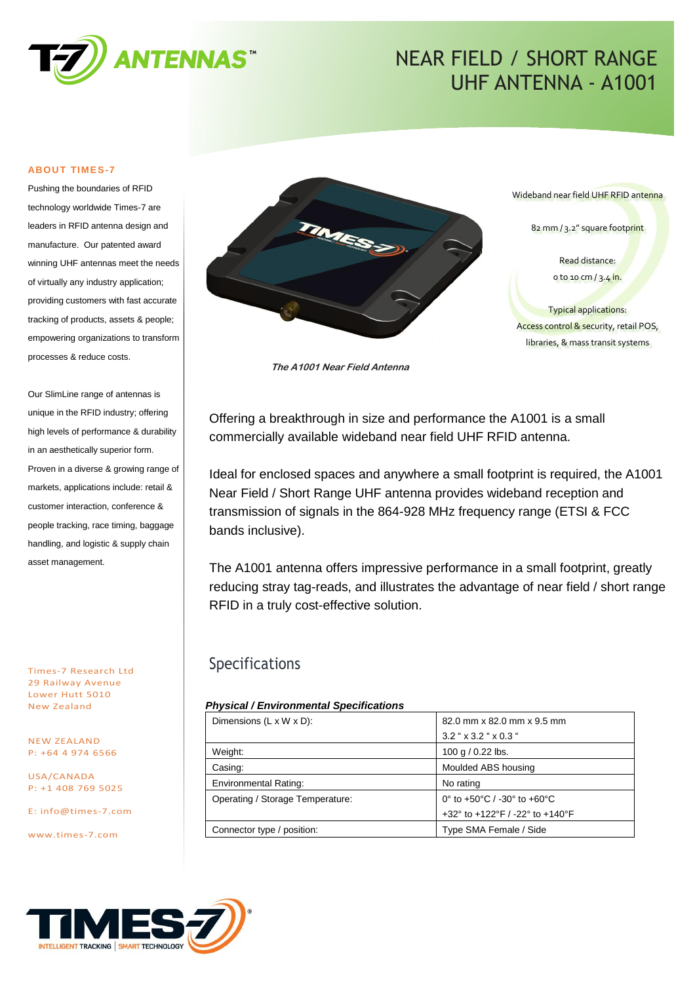

# NEAR FIELD / SHORT RANGE UHF ANTENNA - A1001

#### **ABOUT TIMES-7**

Pushing the boundaries of RFID technology worldwide Times-7 are leaders in RFID antenna design and manufacture. Our patented award winning UHF antennas meet the needs of virtually any industry application; providing customers with fast accurate tracking of products, assets & people; empowering organizations to transform processes & reduce costs.

Our SlimLine range of antennas is unique in the RFID industry; offering high levels of performance & durability in an aesthetically superior form. Proven in a diverse & growing range of markets, applications include: retail & customer interaction, conference & people tracking, race timing, baggage handling, and logistic & supply chain asset management.

Times-7 Research Ltd 29 Railway Avenue Lower Hutt 5010 New Zealand

NEW ZEALAND P: +64 4 974 6566

USA/CANADA P: +1 408 769 5025

E: [info@times-7.com](mailto:info@times-7.com)

www.times-7.com



**The A1001 Near Field Antenna**

Offering a breakthrough in size and performance the A1001 is a small commercially available wideband near field UHF RFID antenna.

Ideal for enclosed spaces and anywhere a small footprint is required, the A1001 Near Field / Short Range UHF antenna provides wideband reception and transmission of signals in the 864-928 MHz frequency range (ETSI & FCC bands inclusive).

The A1001 antenna offers impressive performance in a small footprint, greatly reducing stray tag-reads, and illustrates the advantage of near field / short range RFID in a truly cost-effective solution.

### Specifications

#### *Physical / Environmental Specifications*

| Dimensions $(L \times W \times D)$ : | 82.0 mm x 82.0 mm x 9.5 mm            |  |
|--------------------------------------|---------------------------------------|--|
|                                      | $3.2$ " $\times$ 3.2 " $\times$ 0.3 " |  |
| Weight:                              | 100 g / 0.22 lbs.                     |  |
| Casing:                              | Moulded ABS housing                   |  |
| <b>Environmental Rating:</b>         | No rating                             |  |
| Operating / Storage Temperature:     | 0° to +50°C / -30° to +60°C           |  |
|                                      | +32° to +122°F / -22° to +140°F       |  |
| Connector type / position:           | Type SMA Female / Side                |  |